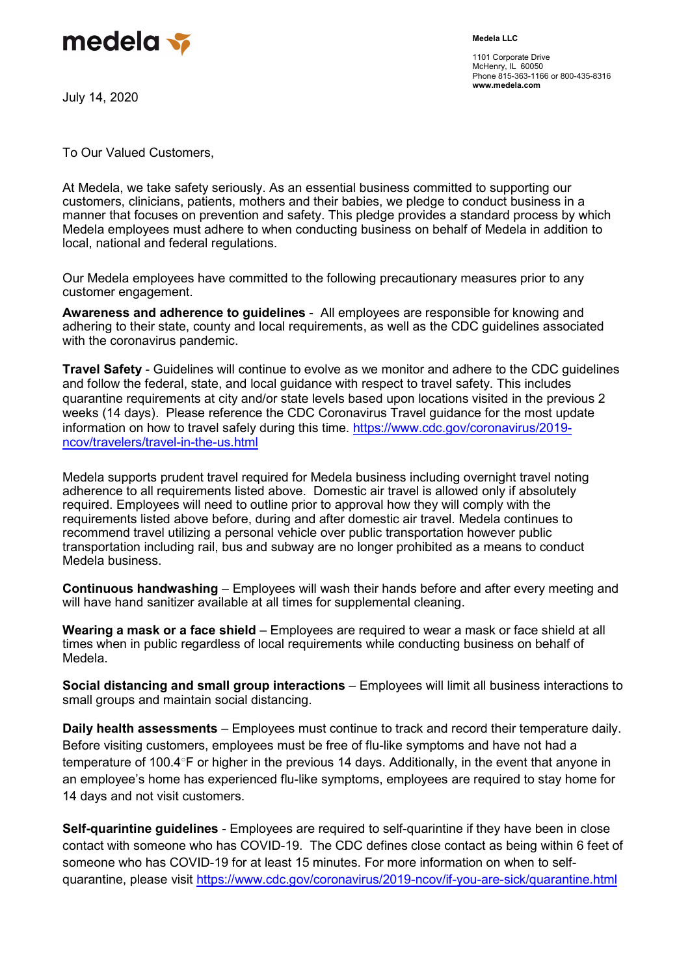

July 14, 2020

1101 Corporate Drive McHenry, IL 60050 Phone 815-363-1166 or 800-435-8316 www.medela.com

To Our Valued Customers,

At Medela, we take safety seriously. As an essential business committed to supporting our customers, clinicians, patients, mothers and their babies, we pledge to conduct business in a manner that focuses on prevention and safety. This pledge provides a standard process by which Medela employees must adhere to when conducting business on behalf of Medela in addition to local, national and federal regulations.

Our Medela employees have committed to the following precautionary measures prior to any customer engagement.

Awareness and adherence to guidelines - All employees are responsible for knowing and adhering to their state, county and local requirements, as well as the CDC guidelines associated with the coronavirus pandemic.

Travel Safety - Guidelines will continue to evolve as we monitor and adhere to the CDC guidelines and follow the federal, state, and local guidance with respect to travel safety. This includes quarantine requirements at city and/or state levels based upon locations visited in the previous 2 weeks (14 days). Please reference the CDC Coronavirus Travel guidance for the most update information on how to travel safely during this time. https://www.cdc.gov/coronavirus/2019 ncov/travelers/travel-in-the-us.html

Medela supports prudent travel required for Medela business including overnight travel noting adherence to all requirements listed above. Domestic air travel is allowed only if absolutely required. Employees will need to outline prior to approval how they will comply with the requirements listed above before, during and after domestic air travel. Medela continues to recommend travel utilizing a personal vehicle over public transportation however public transportation including rail, bus and subway are no longer prohibited as a means to conduct Medela business.

Continuous handwashing – Employees will wash their hands before and after every meeting and will have hand sanitizer available at all times for supplemental cleaning.

Wearing a mask or a face shield – Employees are required to wear a mask or face shield at all times when in public regardless of local requirements while conducting business on behalf of Medela.

Social distancing and small group interactions – Employees will limit all business interactions to small groups and maintain social distancing.

Daily health assessments – Employees must continue to track and record their temperature daily. Before visiting customers, employees must be free of flu-like symptoms and have not had a temperature of 100.4°F or higher in the previous 14 days. Additionally, in the event that anyone in an employee's home has experienced flu-like symptoms, employees are required to stay home for 14 days and not visit customers.

Self-quarintine guidelines - Employees are required to self-quarintine if they have been in close contact with someone who has COVID-19. The CDC defines close contact as being within 6 feet of someone who has COVID-19 for at least 15 minutes. For more information on when to selfquarantine, please visit https://www.cdc.gov/coronavirus/2019-ncov/if-you-are-sick/quarantine.html